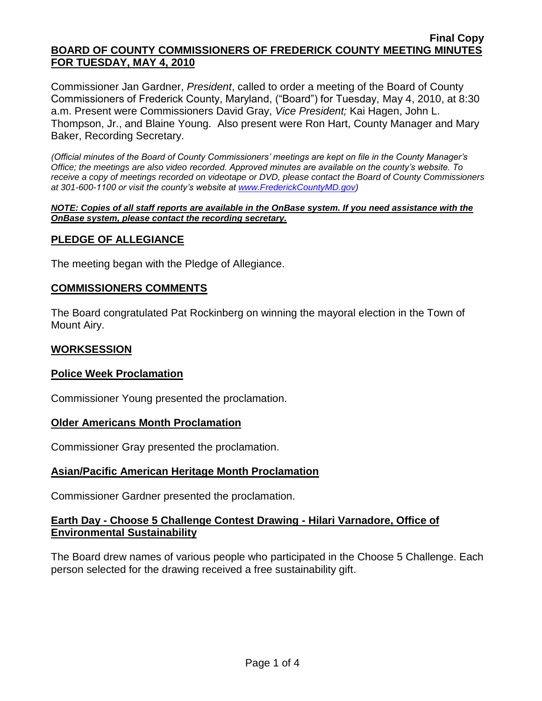Commissioner Jan Gardner, *President*, called to order a meeting of the Board of County Commissioners of Frederick County, Maryland, ("Board") for Tuesday, May 4, 2010, at 8:30 a.m. Present were Commissioners David Gray, *Vice President;* Kai Hagen, John L. Thompson, Jr., and Blaine Young. Also present were Ron Hart, County Manager and Mary Baker, Recording Secretary.

*(Official minutes of the Board of County Commissioners' meetings are kept on file in the County Manager's Office; the meetings are also video recorded. Approved minutes are available on the county's website. To receive a copy of meetings recorded on videotape or DVD, please contact the Board of County Commissioners at 301-600-1100 or visit the county's website at [www.FrederickCountyMD.gov\)](http://www.frederickcountymd.gov/)*

#### *NOTE: Copies of all staff reports are available in the OnBase system. If you need assistance with the OnBase system, please contact the recording secretary.*

## **PLEDGE OF ALLEGIANCE**

The meeting began with the Pledge of Allegiance.

### **COMMISSIONERS COMMENTS**

The Board congratulated Pat Rockinberg on winning the mayoral election in the Town of Mount Airy.

#### **WORKSESSION**

### **Police Week Proclamation**

Commissioner Young presented the proclamation.

### **Older Americans Month Proclamation**

Commissioner Gray presented the proclamation.

### **Asian/Pacific American Heritage Month Proclamation**

Commissioner Gardner presented the proclamation.

### **Earth Day - Choose 5 Challenge Contest Drawing - Hilari Varnadore, Office of Environmental Sustainability**

The Board drew names of various people who participated in the Choose 5 Challenge. Each person selected for the drawing received a free sustainability gift.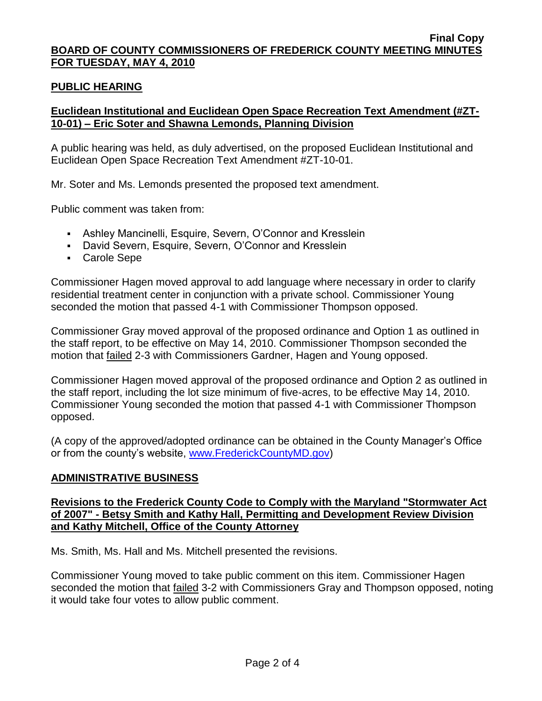### **PUBLIC HEARING**

## **Euclidean Institutional and Euclidean Open Space Recreation Text Amendment (#ZT-10-01) – Eric Soter and Shawna Lemonds, Planning Division**

A public hearing was held, as duly advertised, on the proposed Euclidean Institutional and Euclidean Open Space Recreation Text Amendment #ZT-10-01.

Mr. Soter and Ms. Lemonds presented the proposed text amendment.

Public comment was taken from:

- Ashley Mancinelli, Esquire, Severn, O'Connor and Kresslein
- David Severn, Esquire, Severn, O'Connor and Kresslein
- Carole Sepe

Commissioner Hagen moved approval to add language where necessary in order to clarify residential treatment center in conjunction with a private school. Commissioner Young seconded the motion that passed 4-1 with Commissioner Thompson opposed.

Commissioner Gray moved approval of the proposed ordinance and Option 1 as outlined in the staff report, to be effective on May 14, 2010. Commissioner Thompson seconded the motion that failed 2-3 with Commissioners Gardner, Hagen and Young opposed.

Commissioner Hagen moved approval of the proposed ordinance and Option 2 as outlined in the staff report, including the lot size minimum of five-acres, to be effective May 14, 2010. Commissioner Young seconded the motion that passed 4-1 with Commissioner Thompson opposed.

(A copy of the approved/adopted ordinance can be obtained in the County Manager's Office or from the county's website, [www.FrederickCountyMD.gov\)](http://www.frederickcountymd.gov/)

### **ADMINISTRATIVE BUSINESS**

### **Revisions to the Frederick County Code to Comply with the Maryland "Stormwater Act of 2007" - Betsy Smith and Kathy Hall, Permitting and Development Review Division and Kathy Mitchell, Office of the County Attorney**

Ms. Smith, Ms. Hall and Ms. Mitchell presented the revisions.

Commissioner Young moved to take public comment on this item. Commissioner Hagen seconded the motion that failed 3-2 with Commissioners Gray and Thompson opposed, noting it would take four votes to allow public comment.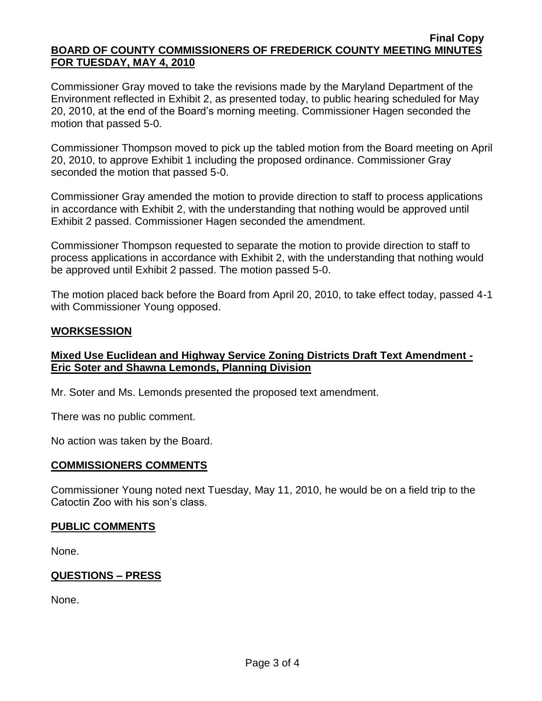Commissioner Gray moved to take the revisions made by the Maryland Department of the Environment reflected in Exhibit 2, as presented today, to public hearing scheduled for May 20, 2010, at the end of the Board's morning meeting. Commissioner Hagen seconded the motion that passed 5-0.

Commissioner Thompson moved to pick up the tabled motion from the Board meeting on April 20, 2010, to approve Exhibit 1 including the proposed ordinance. Commissioner Gray seconded the motion that passed 5-0.

Commissioner Gray amended the motion to provide direction to staff to process applications in accordance with Exhibit 2, with the understanding that nothing would be approved until Exhibit 2 passed. Commissioner Hagen seconded the amendment.

Commissioner Thompson requested to separate the motion to provide direction to staff to process applications in accordance with Exhibit 2, with the understanding that nothing would be approved until Exhibit 2 passed. The motion passed 5-0.

The motion placed back before the Board from April 20, 2010, to take effect today, passed 4-1 with Commissioner Young opposed.

### **WORKSESSION**

## **Mixed Use Euclidean and Highway Service Zoning Districts Draft Text Amendment - Eric Soter and Shawna Lemonds, Planning Division**

Mr. Soter and Ms. Lemonds presented the proposed text amendment.

There was no public comment.

No action was taken by the Board.

### **COMMISSIONERS COMMENTS**

Commissioner Young noted next Tuesday, May 11, 2010, he would be on a field trip to the Catoctin Zoo with his son's class.

### **PUBLIC COMMENTS**

None.

### **QUESTIONS – PRESS**

None.